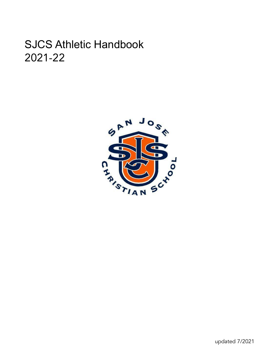# SJCS Athletic Handbook 2021-22

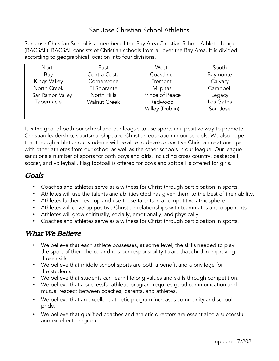#### San Jose Christian School Athletics

San Jose Christian School is a member of the Bay Area Christian School Athletic League (BACSAL). BACSAL consists of Christian schools from all over the Bay Area. It is divided according to geographical location into four divisions.

| <b>North</b>        | <b>East</b>         | <b>West</b>     | South     |
|---------------------|---------------------|-----------------|-----------|
| Bay                 | Contra Costa        | Coastline       | Baymonte  |
| <b>Kings Valley</b> | Cornerstone         | Fremont         | Calvary   |
| North Creek         | El Sobrante         | <b>Milpitas</b> | Campbell  |
| San Ramon Valley    | North Hills         | Prince of Peace | Legacy    |
| Tabernacle          | <b>Walnut Creek</b> | Redwood         | Los Gatos |
|                     |                     | Valley (Dublin) | San Jose  |
|                     |                     |                 |           |

It is the goal of both our school and our league to use sports in a positive way to promote Christian leadership, sportsmanship, and Christian education in our schools. We also hope that through athletics our students will be able to develop positive Christian relationships with other athletes from our school as well as the other schools in our league. Our league sanctions a number of sports for both boys and girls, including cross country, basketball, soccer, and volleyball. Flag football is offered for boys and softball is offered for girls.

#### Goals

- Coaches and athletes serve as a witness for Christ through participation in sports.
- Athletes will use the talents and abilities God has given them to the best of their ability.
- Athletes further develop and use those talents in a competitive atmosphere.
- Athletes will develop positive Christian relationships with teammates and opponents.
- Athletes will grow spiritually, socially, emotionally, and physically.
- Coaches and athletes serve as a witness for Christ through participation in sports.

## What We Believe

- We believe that each athlete possesses, at some level, the skills needed to play the sport of their choice and it is our responsibility to aid that child in improving those skills.
- We believe that middle school sports are both a benefit and a privilege for the students.
- We believe that students can learn lifelong values and skills through competition.
- We believe that a successful athletic program requires good communication and mutual respect between coaches, parents, and athletes.
- We believe that an excellent athletic program increases community and school pride.
- We believe that qualified coaches and athletic directors are essential to a successful and excellent program.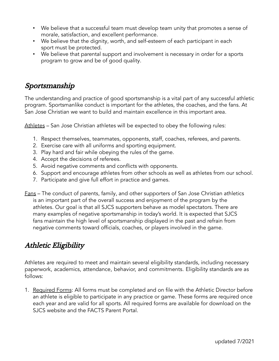- We believe that a successful team must develop team unity that promotes a sense of morale, satisfaction, and excellent performance.
- We believe that the dignity, worth, and self-esteem of each participant in each sport must be protected.
- We believe that parental support and involvement is necessary in order for a sports program to grow and be of good quality.

# Sportsmanship

The understanding and practice of good sportsmanship is a vital part of any successful athletic program. Sportsmanlike conduct is important for the athletes, the coaches, and the fans. At San Jose Christian we want to build and maintain excellence in this important area.

Athletes – San Jose Christian athletes will be expected to obey the following rules:

- 1. Respect themselves, teammates, opponents, staff, coaches, referees, and parents.
- 2. Exercise care with all uniforms and sporting equipment.
- 3. Play hard and fair while obeying the rules of the game.
- 4. Accept the decisions of referees.
- 5. Avoid negative comments and conflicts with opponents.
- 6. Support and encourage athletes from other schools as well as athletes from our school.
- 7. Participate and give full effort in practice and games.
- Fans The conduct of parents, family, and other supporters of San Jose Christian athletics is an important part of the overall success and enjoyment of the program by the athletes. Our goal is that all SJCS supporters behave as model spectators. There are many examples of negative sportsmanship in today's world. It is expected that SJCS fans maintain the high level of sportsmanship displayed in the past and refrain from negative comments toward officials, coaches, or players involved in the game.

# Athletic Eligibility

Athletes are required to meet and maintain several eligibility standards, including necessary paperwork, academics, attendance, behavior, and commitments. Eligibility standards are as follows:

1. Required Forms: All forms must be completed and on file with the Athletic Director before an athlete is eligible to participate in any practice or game. These forms are required once each year and are valid for all sports. All required forms are available for download on the SJCS website and the FACTS Parent Portal.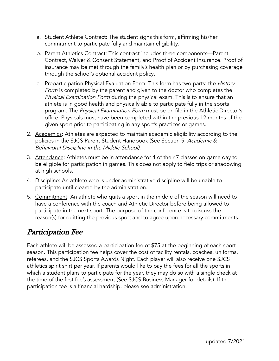- a. Student Athlete Contract: The student signs this form, affirming his/her commitment to participate fully and maintain eligibility.
- b. Parent Athletics Contract: This contract includes three components—Parent Contract, Waiver & Consent Statement, and Proof of Accident Insurance. Proof of insurance may be met through the family's health plan or by purchasing coverage through the school's optional accident policy.
- c. Preparticipation Physical Evaluation Form: This form has two parts: the History Form is completed by the parent and given to the doctor who completes the Physical Examination Form during the physical exam. This is to ensure that an athlete is in good health and physically able to participate fully in the sports program. The Physical Examination Form must be on file in the Athletic Director's office. Physicals must have been completed within the previous 12 months of the given sport prior to participating in any sport's practices or games.
- 2. Academics: Athletes are expected to maintain academic eligibility according to the policies in the SJCS Parent Student Handbook (See Section 5, Academic & Behavioral Discipline in the Middle School).
- 3. Attendance: Athletes must be in attendance for 4 of their 7 classes on game day to be eligible for participation in games. This does not apply to field trips or shadowing at high schools.
- 4. Discipline: An athlete who is under administrative discipline will be unable to participate until cleared by the administration.
- 5. Commitment: An athlete who quits a sport in the middle of the season will need to have a conference with the coach and Athletic Director before being allowed to participate in the next sport. The purpose of the conference is to discuss the reason(s) for quitting the previous sport and to agree upon necessary commitments.

# Participation Fee

Each athlete will be assessed a participation fee of \$75 at the beginning of each sport season. This participation fee helps cover the cost of facility rentals, coaches, uniforms, referees, and the SJCS Sports Awards Night. Each player will also receive one SJCS athletics spirit shirt per year. If parents would like to pay the fees for all the sports in which a student plans to participate for the year, they may do so with a single check at the time of the first fee's assessment (See SJCS Business Manager for details). If the participation fee is a financial hardship, please see administration.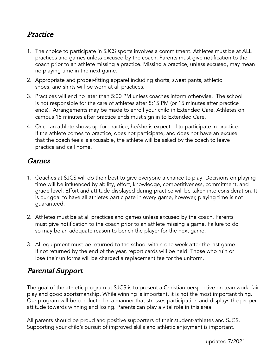## **Practice**

- 1. The choice to participate in SJCS sports involves a commitment. Athletes must be at ALL practices and games unless excused by the coach. Parents must give notification to the coach prior to an athlete missing a practice. Missing a practice, unless excused, may mean no playing time in the next game.
- 2. Appropriate and proper-fitting apparel including shorts, sweat pants, athletic shoes, and shirts will be worn at all practices.
- 3. Practices will end no later than 5:00 PM unless coaches inform otherwise. The school is not responsible for the care of athletes after 5:15 PM (or 15 minutes after practice ends). Arrangements may be made to enroll your child in Extended Care. Athletes on campus 15 minutes after practice ends must sign in to Extended Care.
- 4. Once an athlete shows up for practice, he/she is expected to participate in practice. If the athlete comes to practice, does not participate, and does not have an excuse that the coach feels is excusable, the athlete will be asked by the coach to leave practice and call home.

#### Games

- 1. Coaches at SJCS will do their best to give everyone a chance to play. Decisions on playing time will be influenced by ability, effort, knowledge, competitiveness, commitment, and grade level. Effort and attitude displayed during practice will be taken into consideration. It is our goal to have all athletes participate in every game, however, playing time is not guaranteed.
- 2. Athletes must be at all practices and games unless excused by the coach. Parents must give notification to the coach prior to an athlete missing a game. Failure to do so may be an adequate reason to bench the player for the next game.
- 3. All equipment must be returned to the school within one week after the last game. If not returned by the end of the year, report cards will be held. Those who ruin or lose their uniforms will be charged a replacement fee for the uniform.

# Parental Support

The goal of the athletic program at SJCS is to present a Christian perspective on teamwork, fair play and good sportsmanship. While winning is important, it is not the most important thing. Our program will be conducted in a manner that stresses participation and displays the proper attitude towards winning and losing. Parents can play a vital role in this area.

All parents should be proud and positive supporters of their student-athletes and SJCS. Supporting your child's pursuit of improved skills and athletic enjoyment is important.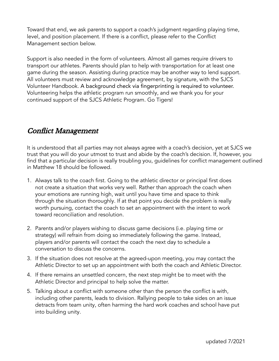Toward that end, we ask parents to support a coach's judgment regarding playing time, level, and position placement. If there is a conflict, please refer to the Conflict Management section below.

Support is also needed in the form of volunteers. Almost all games require drivers to transport our athletes. Parents should plan to help with transportation for at least one game during the season. Assisting during practice may be another way to lend support. All volunteers must review and acknowledge agreement, by signature, with the SJCS Volunteer Handbook. A background check via fingerprinting is required to volunteer. Volunteering helps the athletic program run smoothly, and we thank you for your continued support of the SJCS Athletic Program. Go Tigers!

## Conflict Management

It is understood that all parties may not always agree with a coach's decision, yet at SJCS we trust that you will do your utmost to trust and abide by the coach's decision. If, however, you find that a particular decision is really troubling you, guidelines for conflict management outlined in Matthew 18 should be followed.

- 1. Always talk to the coach first. Going to the athletic director or principal first does not create a situation that works very well. Rather than approach the coach when your emotions are running high, wait until you have time and space to think through the situation thoroughly. If at that point you decide the problem is really worth pursuing, contact the coach to set an appointment with the intent to work toward reconciliation and resolution.
- 2. Parents and/or players wishing to discuss game decisions (i.e. playing time or strategy) will refrain from doing so immediately following the game. Instead, players and/or parents will contact the coach the next day to schedule a conversation to discuss the concerns.
- 3. If the situation does not resolve at the agreed-upon meeting, you may contact the Athletic Director to set up an appointment with both the coach and Athletic Director.
- 4. If there remains an unsettled concern, the next step might be to meet with the Athletic Director and principal to help solve the matter.
- 5. Talking about a conflict with someone other than the person the conflict is with, including other parents, leads to division. Rallying people to take sides on an issue detracts from team unity, often harming the hard work coaches and school have put into building unity.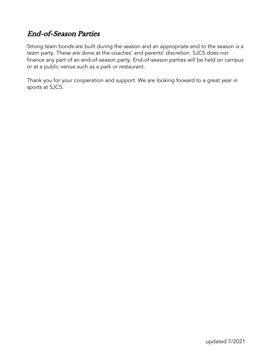# End-of-Season Parties

Strong team bonds are built during the season and an appropriate end to the season is a team party. These are done at the coaches' and parents' discretion. SJCS does not finance any part of an end-of-season party. End-of-season parties will be held on campus or at a public venue such as a park or restaurant.

Thank you for your cooperation and support. We are looking forward to a great year in sports at SJCS.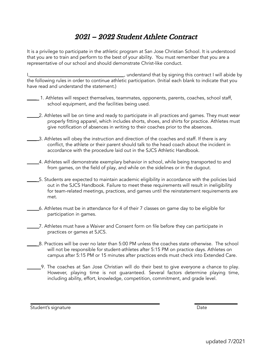# 2021 – 2022 Student Athlete Contract

It is a privilege to participate in the athletic program at San Jose Christian School. It is understood that you are to train and perform to the best of your ability. You must remember that you are a representative of our school and should demonstrate Christ-like conduct.

I, 1. 1. 1. 1. Understand that by signing this contract I will abide by the following rules in order to continue athletic participation. (Initial each blank to indicate that you have read and understand the statement.)

- \_\_\_\_ 1. Athletes will respect themselves, teammates, opponents, parents, coaches, school staff, school equipment, and the facilities being used.
	- 1. Athletes will be on time and ready to participate in all practices and games. They must wear properly fitting apparel, which includes shorts, shoes, and shirts for practice. Athletes must give notification of absences in writing to their coaches prior to the absences.
- 13. Athletes will obey the instruction and direction of the coaches and staff. If there is any conflict, the athlete or their parent should talk to the head coach about the incident in accordance with the procedure laid out in the SJCS Athletic Handbook.
- \_\_\_\_ 4. Athletes will demonstrate exemplary behavior in school, while being transported to and from games, on the field of play, and while on the sidelines or in the dugout.
- 5. Students are expected to maintain academic eligibility in accordance with the policies laid out in the SJCS Handbook. Failure to meet these requirements will result in ineligibility for team-related meetings, practices, and games until the reinstatement requirements are met.
- \_\_\_\_ 6. Athletes must be in attendance for 4 of their 7 classes on game day to be eligible for participation in games.
- \_\_\_\_ 7. Athletes must have a Waiver and Consent form on file before they can participate in practices or games at SJCS.
- \_\_\_\_ 8. Practices will be over no later than 5:00 PM unless the coaches state otherwise. The school will not be responsible for student-athletes after 5:15 PM on practice days. Athletes on campus after 5:15 PM or 15 minutes after practices ends must check into Extended Care.
	- 9. The coaches at San Jose Christian will do their best to give everyone a chance to play. However, playing time is not guaranteed. Several factors determine playing time, including ability, effort, knowledge, competition, commitment, and grade level.

Student's signature Date Date of the Date of the Date Date Date Date Date Date of the Date of the Date of the Date of the Date of the Date of the Date of the Date of the Date of the Date of the Date of the Date of the Date